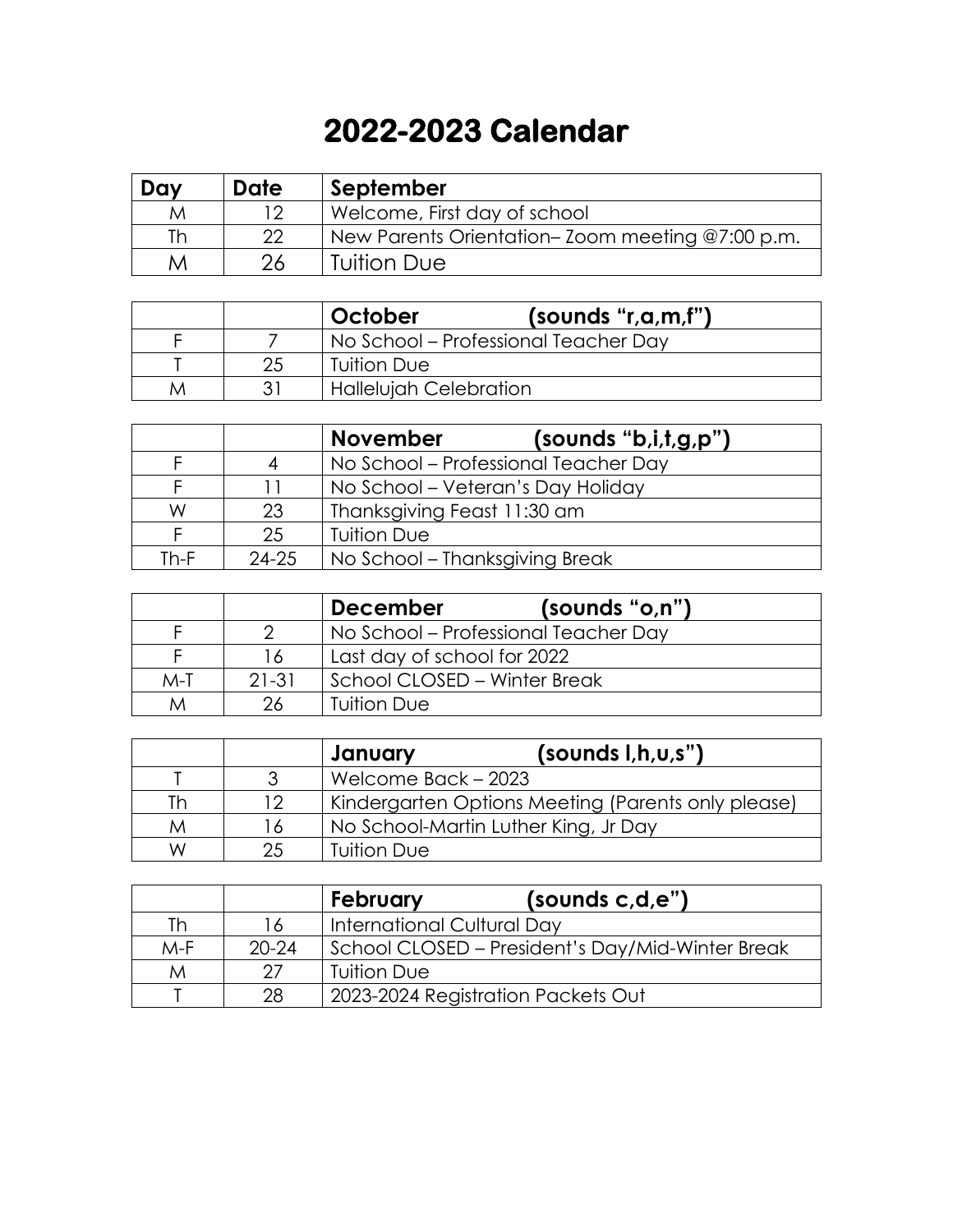## **2022-2023 Calendar**

| Day | Date | September                                       |  |
|-----|------|-------------------------------------------------|--|
| M   | 1 つ  | Welcome, First day of school                    |  |
| Th. | つつ   | New Parents Orientation–Zoom meeting @7:00 p.m. |  |
| M   | 26   | Tuition Due                                     |  |

|   |    | October                       | (sounds "r,a,m,f")                   |
|---|----|-------------------------------|--------------------------------------|
|   |    |                               | No School – Professional Teacher Day |
|   | 25 | <b>Tuition Due</b>            |                                      |
| M |    | <b>Hallelujah Celebration</b> |                                      |

|      |           | <b>November</b>                | (sounds 'b,i,t,g,p")                 |
|------|-----------|--------------------------------|--------------------------------------|
|      |           |                                | No School – Professional Teacher Day |
|      |           |                                | No School – Veteran's Day Holiday    |
| W    | 23        | Thanksgiving Feast 11:30 am    |                                      |
|      | 25        | <b>Tuition Due</b>             |                                      |
| Th-F | $24 - 25$ | No School – Thanksgiving Break |                                      |

|       |         | (sounds "o,n")<br><b>December</b>    |
|-------|---------|--------------------------------------|
|       |         | No School – Professional Teacher Day |
|       | 16      | Last day of school for 2022          |
| $M-T$ | $21-31$ | School CLOSED - Winter Break         |
| M     |         | <b>Tuition Due</b>                   |

|    |    | (sounds I, h, u, s")<br>January                    |
|----|----|----------------------------------------------------|
|    |    | Welcome Back - 2023                                |
| Th | 12 | Kindergarten Options Meeting (Parents only please) |
| M  | 16 | No School-Martin Luther King, Jr Day               |
| W  | クベ | <b>Tuition Due</b>                                 |

|       |           | (sounds c,d,e")<br>February                      |
|-------|-----------|--------------------------------------------------|
| Th    | 16        | International Cultural Day                       |
| $M-F$ | $20 - 24$ | School CLOSED – President's Day/Mid-Winter Break |
| M     | 27        | <b>Tuition Due</b>                               |
|       | 28        | 2023-2024 Registration Packets Out               |